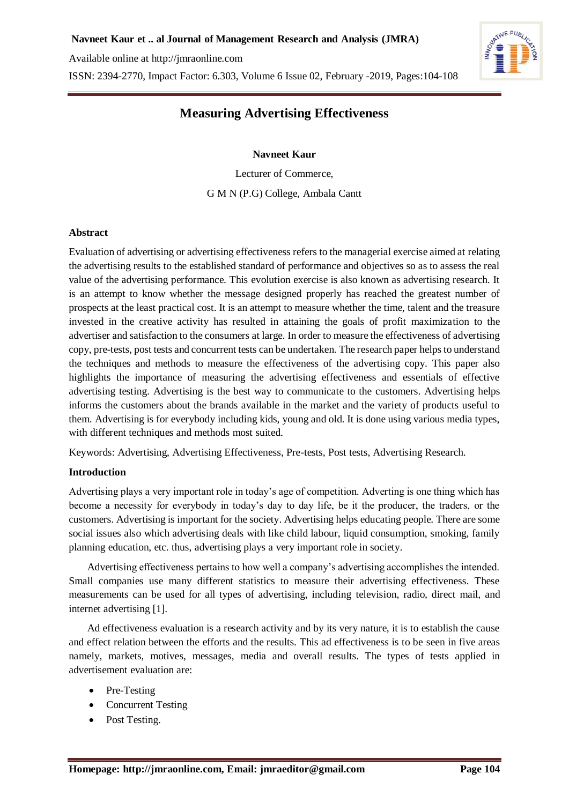Available online at [http://jmraonline.com](http://jmraonline.com/)

ISSN: 2394-2770, Impact Factor: 6.303, Volume 6 Issue 02, February -2019, Pages:104-108



# **Measuring Advertising Effectiveness**

#### **Navneet Kaur**

Lecturer of Commerce, G M N (P.G) College, Ambala Cantt

#### **Abstract**

Evaluation of advertising or advertising effectiveness refers to the managerial exercise aimed at relating the advertising results to the established standard of performance and objectives so as to assess the real value of the advertising performance. This evolution exercise is also known as advertising research. It is an attempt to know whether the message designed properly has reached the greatest number of prospects at the least practical cost. It is an attempt to measure whether the time, talent and the treasure invested in the creative activity has resulted in attaining the goals of profit maximization to the advertiser and satisfaction to the consumers at large. In order to measure the effectiveness of advertising copy, pre-tests, post tests and concurrent tests can be undertaken. The research paper helps to understand the techniques and methods to measure the effectiveness of the advertising copy. This paper also highlights the importance of measuring the advertising effectiveness and essentials of effective advertising testing. Advertising is the best way to communicate to the customers. Advertising helps informs the customers about the brands available in the market and the variety of products useful to them. Advertising is for everybody including kids, young and old. It is done using various media types, with different techniques and methods most suited.

Keywords: Advertising, Advertising Effectiveness, Pre-tests, Post tests, Advertising Research.

## **Introduction**

Advertising plays a very important role in today's age of competition. Adverting is one thing which has become a necessity for everybody in today's day to day life, be it the producer, the traders, or the customers. Advertising is important for the society. Advertising helps educating people. There are some social issues also which advertising deals with like child labour, liquid consumption, smoking, family planning education, etc. thus, advertising plays a very important role in society.

 Advertising effectiveness pertains to how well a company's advertising accomplishes the intended. Small companies use many different statistics to measure their advertising effectiveness. These measurements can be used for all types of advertising, including television, radio, direct mail, and internet advertising [1].

 Ad effectiveness evaluation is a research activity and by its very nature, it is to establish the cause and effect relation between the efforts and the results. This ad effectiveness is to be seen in five areas namely, markets, motives, messages, media and overall results. The types of tests applied in advertisement evaluation are:

- Pre-Testing
- Concurrent Testing
- Post Testing.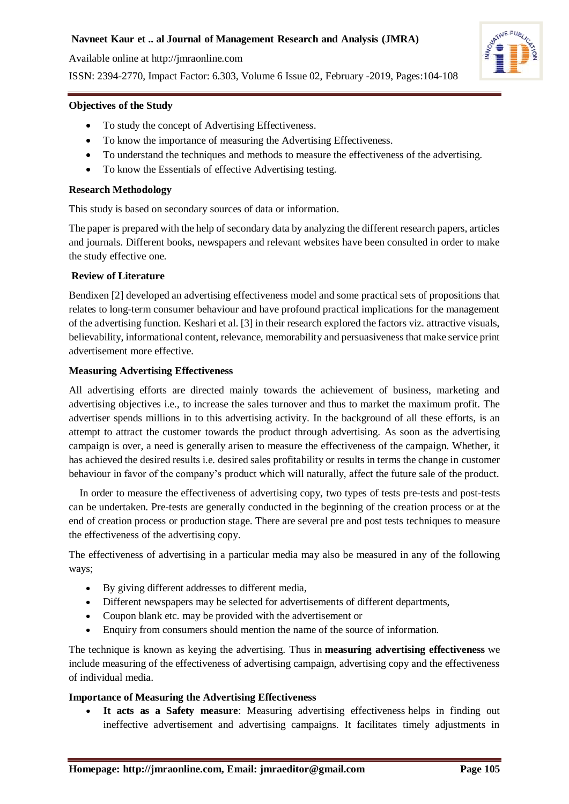Available online at [http://jmraonline.com](http://jmraonline.com/)

ISSN: 2394-2770, Impact Factor: 6.303, Volume 6 Issue 02, February -2019, Pages:104-108



#### **Objectives of the Study**

- To study the concept of Advertising Effectiveness.
- To know the importance of measuring the Advertising Effectiveness.
- To understand the techniques and methods to measure the effectiveness of the advertising.
- To know the Essentials of effective Advertising testing.

#### **Research Methodology**

This study is based on secondary sources of data or information.

The paper is prepared with the help of secondary data by analyzing the different research papers, articles and journals. Different books, newspapers and relevant websites have been consulted in order to make the study effective one.

#### **Review of Literature**

Bendixen [2] developed an advertising effectiveness model and some practical sets of propositions that relates to long-term consumer behaviour and have profound practical implications for the management of the advertising function. Keshari et al. [3] in their research explored the factors viz. attractive visuals, believability, informational content, relevance, memorability and persuasiveness that make service print advertisement more effective.

#### **Measuring Advertising Effectiveness**

All advertising efforts are directed mainly towards the achievement of business, marketing and advertising objectives i.e., to increase the sales turnover and thus to market the maximum profit. The advertiser spends millions in to this advertising activity. In the background of all these efforts, is an attempt to attract the customer towards the product through advertising. As soon as the advertising campaign is over, a need is generally arisen to measure the effectiveness of the campaign. Whether, it has achieved the desired results i.e. desired sales profitability or results in terms the change in customer behaviour in favor of the company's product which will naturally, affect the future sale of the product.

 In order to measure the effectiveness of advertising copy, two types of tests pre-tests and post-tests can be undertaken. Pre-tests are generally conducted in the beginning of the creation process or at the end of creation process or production stage. There are several pre and post tests techniques to measure the effectiveness of the advertising copy.

The effectiveness of advertising in a particular media may also be measured in any of the following ways;

- By giving different addresses to different media,
- Different newspapers may be selected for advertisements of different departments,
- Coupon blank etc. may be provided with the advertisement or
- Enquiry from consumers should mention the name of the source of information.

The technique is known as keying the advertising. Thus in **measuring advertising effectiveness** we include measuring of the effectiveness of advertising campaign, advertising copy and the effectiveness of individual media.

## **Importance of Measuring the Advertising Effectiveness**

 **It acts as a Safety measure**: Measuring advertising effectiveness helps in finding out ineffective advertisement and advertising campaigns. It facilitates timely adjustments in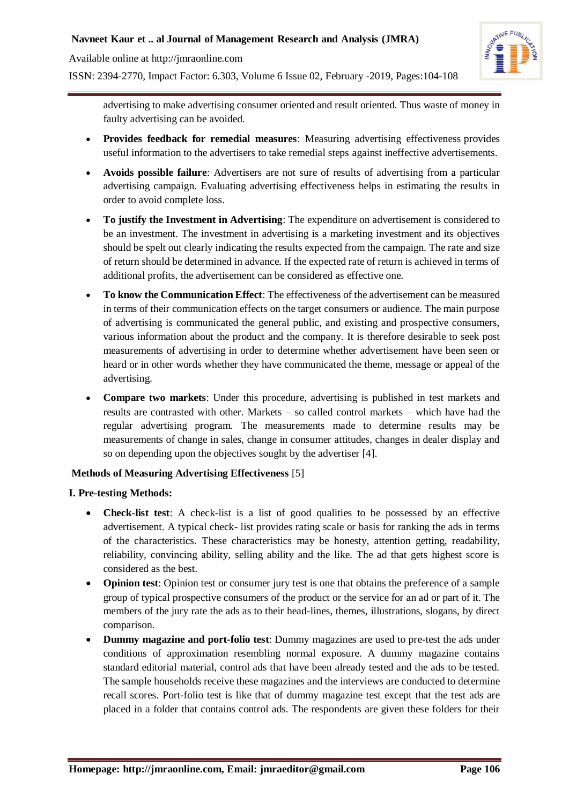Available online at [http://jmraonline.com](http://jmraonline.com/)

ISSN: 2394-2770, Impact Factor: 6.303, Volume 6 Issue 02, February -2019, Pages:104-108



advertising to make advertising consumer oriented and result oriented. Thus waste of money in faulty advertising can be avoided.

- **Provides feedback for remedial measures**: Measuring advertising effectiveness provides useful information to the advertisers to take remedial steps against ineffective advertisements.
- **Avoids possible failure**: Advertisers are not sure of results of advertising from a particular advertising campaign. Evaluating advertising effectiveness helps in estimating the results in order to avoid complete loss.
- **To justify the Investment in Advertising**: The expenditure on advertisement is considered to be an investment. The investment in advertising is a marketing investment and its objectives should be spelt out clearly indicating the results expected from the campaign. The rate and size of return should be determined in advance. If the expected rate of return is achieved in terms of additional profits, the advertisement can be considered as effective one.
- **To know the Communication Effect**: The effectiveness of the advertisement can be measured in terms of their communication effects on the target consumers or audience. The main purpose of advertising is communicated the general public, and existing and prospective consumers, various information about the product and the company. It is therefore desirable to seek post measurements of advertising in order to determine whether advertisement have been seen or heard or in other words whether they have communicated the theme, message or appeal of the advertising.
- **Compare two markets**: Under this procedure, advertising is published in test markets and results are contrasted with other. Markets – so called control markets – which have had the regular advertising program. The measurements made to determine results may be measurements of change in sales, change in consumer attitudes, changes in dealer display and so on depending upon the objectives sought by the advertiser [4].

## **Methods of Measuring Advertising Effectiveness** [5]

## **I. Pre-testing Methods:**

- **Check-list test**: A check-list is a list of good qualities to be possessed by an effective advertisement. A typical check- list provides rating scale or basis for ranking the ads in terms of the characteristics. These characteristics may be honesty, attention getting, readability, reliability, convincing ability, selling ability and the like. The ad that gets highest score is considered as the best.
- **Opinion test**: Opinion test or consumer jury test is one that obtains the preference of a sample group of typical prospective consumers of the product or the service for an ad or part of it. The members of the jury rate the ads as to their head-lines, themes, illustrations, slogans, by direct comparison.
- **Dummy magazine and port-folio test**: Dummy magazines are used to pre-test the ads under conditions of approximation resembling normal exposure. A dummy magazine contains standard editorial material, control ads that have been already tested and the ads to be tested. The sample households receive these magazines and the interviews are conducted to determine recall scores. Port-folio test is like that of dummy magazine test except that the test ads are placed in a folder that contains control ads. The respondents are given these folders for their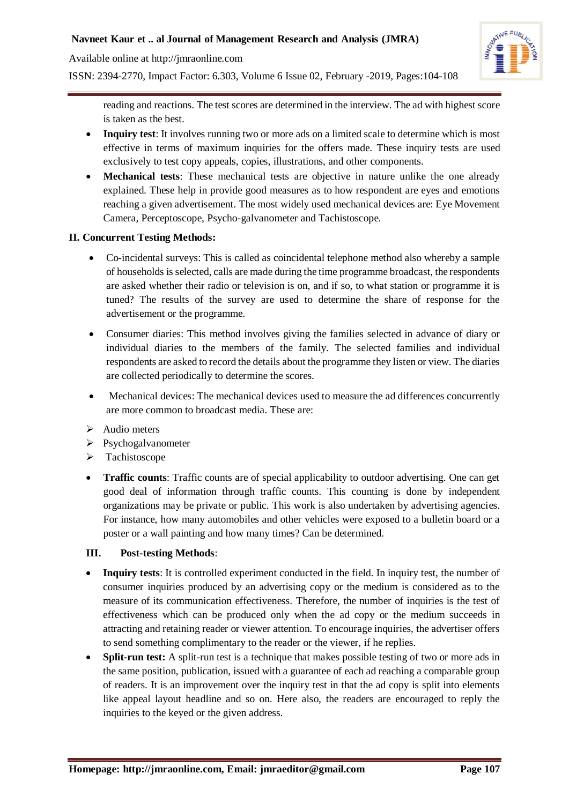## **Navneet Kaur et .. al Journal of Management Research and Analysis (JMRA)**

Available online at [http://jmraonline.com](http://jmraonline.com/)





reading and reactions. The test scores are determined in the interview. The ad with highest score is taken as the best.

- **Inquiry test**: It involves running two or more ads on a limited scale to determine which is most effective in terms of maximum inquiries for the offers made. These inquiry tests are used exclusively to test copy appeals, copies, illustrations, and other components.
- **Mechanical tests**: These mechanical tests are objective in nature unlike the one already explained. These help in provide good measures as to how respondent are eyes and emotions reaching a given advertisement. The most widely used mechanical devices are: Eye Movement Camera, Perceptoscope, Psycho-galvanometer and Tachistoscope.

## **II. Concurrent Testing Methods:**

- Co-incidental surveys: This is called as coincidental telephone method also whereby a sample of households is selected, calls are made during the time programme broadcast, the respondents are asked whether their radio or television is on, and if so, to what station or programme it is tuned? The results of the survey are used to determine the share of response for the advertisement or the programme.
- Consumer diaries: This method involves giving the families selected in advance of diary or individual diaries to the members of the family. The selected families and individual respondents are asked to record the details about the programme they listen or view. The diaries are collected periodically to determine the scores.
- Mechanical devices: The mechanical devices used to measure the ad differences concurrently are more common to broadcast media. These are:
- $\blacktriangleright$  Audio meters
- Psychogalvanometer
- > Tachistoscope
- **Traffic counts**: Traffic counts are of special applicability to outdoor advertising. One can get good deal of information through traffic counts. This counting is done by independent organizations may be private or public. This work is also undertaken by advertising agencies. For instance, how many automobiles and other vehicles were exposed to a bulletin board or a poster or a wall painting and how many times? Can be determined.

## **III. Post-testing Methods**:

- **Inquiry tests**: It is controlled experiment conducted in the field. In inquiry test, the number of consumer inquiries produced by an advertising copy or the medium is considered as to the measure of its communication effectiveness. Therefore, the number of inquiries is the test of effectiveness which can be produced only when the ad copy or the medium succeeds in attracting and retaining reader or viewer attention. To encourage inquiries, the advertiser offers to send something complimentary to the reader or the viewer, if he replies.
- **Split-run test:** A split-run test is a technique that makes possible testing of two or more ads in the same position, publication, issued with a guarantee of each ad reaching a comparable group of readers. It is an improvement over the inquiry test in that the ad copy is split into elements like appeal layout headline and so on. Here also, the readers are encouraged to reply the inquiries to the keyed or the given address.